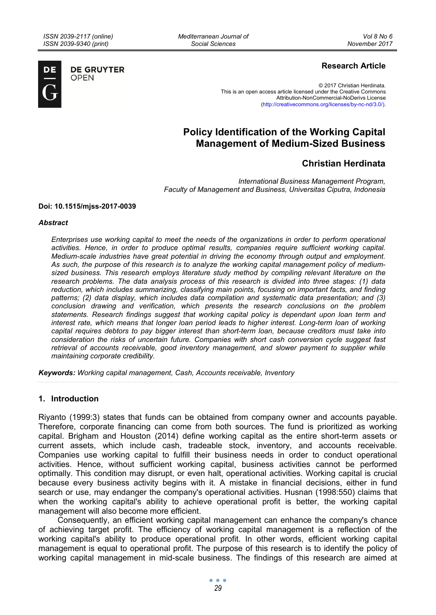*Mediterranean Journal of Social Sciences* 



**DE GRUYTER OPEN** 

# **Research Article**

© 2017 Christian Herdinata. This is an open access article licensed under the Creative Commons Attribution-NonCommercial-NoDerivs License (http://creativecommons.org/licenses/by-nc-nd/3.0/).

# **Policy Identification of the Working Capital Management of Medium-Sized Business**

# **Christian Herdinata**

*International Business Management Program, Faculty of Management and Business, Universitas Ciputra, Indonesia* 

#### **Doi: 10.1515/mjss-2017-0039**

#### *Abstract*

*Enterprises use working capital to meet the needs of the organizations in order to perform operational activities. Hence, in order to produce optimal results, companies require sufficient working capital. Medium-scale industries have great potential in driving the economy through output and employment. As such, the purpose of this research is to analyze the working capital management policy of mediumsized business. This research employs literature study method by compiling relevant literature on the research problems. The data analysis process of this research is divided into three stages: (1) data reduction, which includes summarizing, classifying main points, focusing on important facts, and finding*  patterns; (2) data display, which includes data compilation and systematic data presentation; and (3) *conclusion drawing and verification, which presents the research conclusions on the problem statements. Research findings suggest that working capital policy is dependant upon loan term and interest rate, which means that longer loan period leads to higher interest. Long-term loan of working capital requires debtors to pay bigger interest than short-term loan, because creditors must take into consideration the risks of uncertain future. Companies with short cash conversion cycle suggest fast*  retrieval of accounts receivable, good inventory management, and slower payment to supplier while *maintaining corporate credibility.* 

*Keywords: Working capital management, Cash, Accounts receivable, Inventory* 

# **1. Introduction**

Riyanto (1999:3) states that funds can be obtained from company owner and accounts payable. Therefore, corporate financing can come from both sources. The fund is prioritized as working capital. Brigham and Houston (2014) define working capital as the entire short-term assets or current assets, which include cash, tradeable stock, inventory, and accounts receivable. Companies use working capital to fulfill their business needs in order to conduct operational activities. Hence, without sufficient working capital, business activities cannot be performed optimally. This condition may disrupt, or even halt, operational activities. Working capital is crucial because every business activity begins with it. A mistake in financial decisions, either in fund search or use, may endanger the company's operational activities. Husnan (1998:550) claims that when the working capital's ability to achieve operational profit is better, the working capital management will also become more efficient.

Consequently, an efficient working capital management can enhance the company's chance of achieving target profit. The efficiency of working capital management is a reflection of the working capital's ability to produce operational profit. In other words, efficient working capital management is equal to operational profit. The purpose of this research is to identify the policy of working capital management in mid-scale business. The findings of this research are aimed at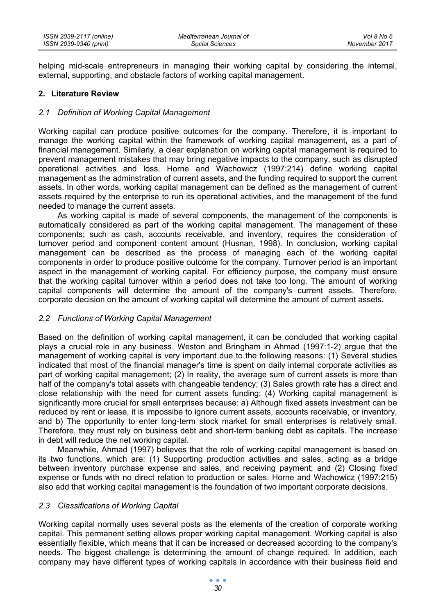helping mid-scale entrepreneurs in managing their working capital by considering the internal, external, supporting, and obstacle factors of working capital management.

#### **2. Literature Review**

#### *2.1 Definition of Working Capital Management*

Working capital can produce positive outcomes for the company. Therefore, it is important to manage the working capital within the framework of working capital management, as a part of financial management. Similarly, a clear explanation on working capital management is required to prevent management mistakes that may bring negative impacts to the company, such as disrupted operational activities and loss. Horne and Wachowicz (1997:214) define working capital management as the adminstration of current assets, and the funding required to support the current assets. In other words, working capital management can be defined as the management of current assets required by the enterprise to run its operational activities, and the management of the fund needed to manage the current assets.

As working capital is made of several components, the management of the components is automatically considered as part of the working capital management. The management of these components; such as cash, accounts receivable, and inventory, requires the consideration of turnover period and component content amount (Husnan, 1998). In conclusion, working capital management can be described as the process of managing each of the working capital components in order to produce positive outcome for the company. Turnover period is an important aspect in the management of working capital. For efficiency purpose, the company must ensure that the working capital turnover within a period does not take too long. The amount of working capital components will determine the amount of the company's current assets. Therefore, corporate decision on the amount of working capital will determine the amount of current assets.

## *2.2 Functions of Working Capital Management*

Based on the definition of working capital management, it can be concluded that working capital plays a crucial role in any business. Weston and Bringham in Ahmad (1997:1-2) argue that the management of working capital is very important due to the following reasons: (1) Several studies indicated that most of the financial manager's time is spent on daily internal corporate activities as part of working capital management; (2) In reality, the average sum of current assets is more than half of the company's total assets with changeable tendency; (3) Sales growth rate has a direct and close relationship with the need for current assets funding; (4) Working capital management is significantly more crucial for small enterprises because: a) Although fixed assets investment can be reduced by rent or lease, it is impossibe to ignore current assets, accounts receivable, or inventory, and b) The opportunity to enter long-term stock market for small enterprises is relatively small. Therefore, they must rely on business debt and short-term banking debt as capitals. The increase in debt will reduce the net working capital.

Meanwhile, Ahmad (1997) believes that the role of working capital management is based on its two functions, which are: (1) Supporting production activities and sales, acting as a bridge between inventory purchase expense and sales, and receiving payment; and (2) Closing fixed expense or funds with no direct relation to production or sales. Horne and Wachowicz (1997:215) also add that working capital management is the foundation of two important corporate decisions.

## *2.3 Classifications of Working Capital*

Working capital normally uses several posts as the elements of the creation of corporate working capital. This permanent setting allows proper working capital management. Working capital is also essentially flexible, which means that it can be increased or decreased according to the company's needs. The biggest challenge is determining the amount of change required. In addition, each company may have different types of working capitals in accordance with their business field and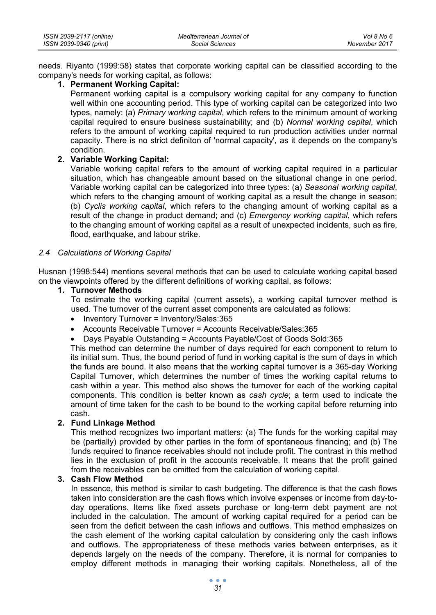| ISSN 2039-2117 (online) | Mediterranean Journal of | Vol 8 No 6    |
|-------------------------|--------------------------|---------------|
| ISSN 2039-9340 (print)  | Social Sciences          | November 2017 |

needs. Riyanto (1999:58) states that corporate working capital can be classified according to the company's needs for working capital, as follows:

#### **1. Permanent Working Capital:**

Permanent working capital is a compulsory working capital for any company to function well within one accounting period. This type of working capital can be categorized into two types, namely: (a) *Primary working capital*, which refers to the minimum amount of working capital required to ensure business sustainability; and (b) *Normal working capital*, which refers to the amount of working capital required to run production activities under normal capacity. There is no strict definiton of 'normal capacity', as it depends on the company's condition.

# **2. Variable Working Capital:**

Variable working capital refers to the amount of working capital required in a particular situation, which has changeable amount based on the situational change in one period. Variable working capital can be categorized into three types: (a) *Seasonal working capital*, which refers to the changing amount of working capital as a result the change in season; (b) *Cyclis working capital*, which refers to the changing amount of working capital as a result of the change in product demand; and (c) *Emergency working capital*, which refers to the changing amount of working capital as a result of unexpected incidents, such as fire, flood, earthquake, and labour strike.

#### *2.4 Calculations of Working Capital*

Husnan (1998:544) mentions several methods that can be used to calculate working capital based on the viewpoints offered by the different definitions of working capital, as follows:

#### **1. Turnover Methods**

To estimate the working capital (current assets), a working capital turnover method is used. The turnover of the current asset components are calculated as follows:

- Inventory Turnover = Inventory/Sales: 365
- Accounts Receivable Turnover = Accounts Receivable/Sales:365
- Days Payable Outstanding = Accounts Payable/Cost of Goods Sold:365

This method can determine the number of days required for each component to return to its initial sum. Thus, the bound period of fund in working capital is the sum of days in which the funds are bound. It also means that the working capital turnover is a 365-day Working Capital Turnover, which determines the number of times the working capital returns to cash within a year. This method also shows the turnover for each of the working capital components. This condition is better known as *cash cycle*; a term used to indicate the amount of time taken for the cash to be bound to the working capital before returning into cash.

## **2. Fund Linkage Method**

This method recognizes two important matters: (a) The funds for the working capital may be (partially) provided by other parties in the form of spontaneous financing; and (b) The funds required to finance receivables should not include profit. The contrast in this method lies in the exclusion of profit in the accounts receivable. It means that the profit gained from the receivables can be omitted from the calculation of working capital.

# **3. Cash Flow Method**

In essence, this method is similar to cash budgeting. The difference is that the cash flows taken into consideration are the cash flows which involve expenses or income from day-today operations. Items like fixed assets purchase or long-term debt payment are not included in the calculation. The amount of working capital required for a period can be seen from the deficit between the cash inflows and outflows. This method emphasizes on the cash element of the working capital calculation by considering only the cash inflows and outflows. The appropriateness of these methods varies between enterprises, as it depends largely on the needs of the company. Therefore, it is normal for companies to employ different methods in managing their working capitals. Nonetheless, all of the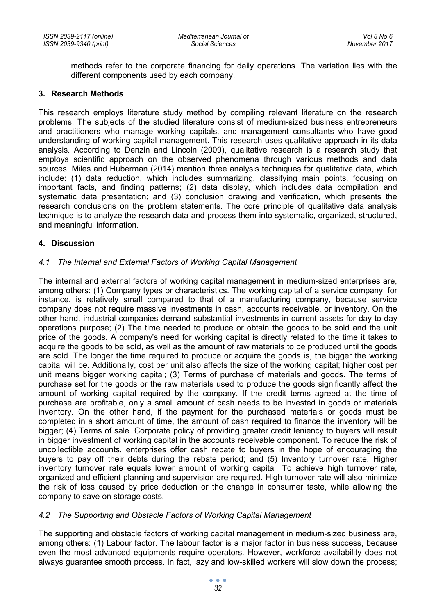methods refer to the corporate financing for daily operations. The variation lies with the different components used by each company.

#### **3. Research Methods**

This research employs literature study method by compiling relevant literature on the research problems. The subjects of the studied literature consist of medium-sized business entrepreneurs and practitioners who manage working capitals, and management consultants who have good understanding of working capital management. This research uses qualitative approach in its data analysis. According to Denzin and Lincoln (2009), qualitative research is a research study that employs scientific approach on the observed phenomena through various methods and data sources. Miles and Huberman (2014) mention three analysis techniques for qualitative data, which include: (1) data reduction, which includes summarizing, classifying main points, focusing on important facts, and finding patterns; (2) data display, which includes data compilation and systematic data presentation; and (3) conclusion drawing and verification, which presents the research conclusions on the problem statements. The core principle of qualitative data analysis technique is to analyze the research data and process them into systematic, organized, structured, and meaningful information.

## **4. Discussion**

## *4.1 The Internal and External Factors of Working Capital Management*

The internal and external factors of working capital management in medium-sized enterprises are, among others: (1) Company types or characteristics. The working capital of a service company, for instance, is relatively small compared to that of a manufacturing company, because service company does not require massive investments in cash, accounts receivable, or inventory. On the other hand, industrial companies demand substantial investments in current assets for day-to-day operations purpose; (2) The time needed to produce or obtain the goods to be sold and the unit price of the goods. A company's need for working capital is directly related to the time it takes to acquire the goods to be sold, as well as the amount of raw materials to be produced until the goods are sold. The longer the time required to produce or acquire the goods is, the bigger the working capital will be. Additionally, cost per unit also affects the size of the working capital; higher cost per unit means bigger working capital; (3) Terms of purchase of materials and goods. The terms of purchase set for the goods or the raw materials used to produce the goods significantly affect the amount of working capital required by the company. If the credit terms agreed at the time of purchase are profitable, only a small amount of cash needs to be invested in goods or materials inventory. On the other hand, if the payment for the purchased materials or goods must be completed in a short amount of time, the amount of cash required to finance the inventory will be bigger; (4) Terms of sale. Corporate policy of providing greater credit leniency to buyers will result in bigger investment of working capital in the accounts receivable component. To reduce the risk of uncollectible accounts, enterprises offer cash rebate to buyers in the hope of encouraging the buyers to pay off their debts during the rebate period; and (5) Inventory turnover rate. Higher inventory turnover rate equals lower amount of working capital. To achieve high turnover rate, organized and efficient planning and supervision are required. High turnover rate will also minimize the risk of loss caused by price deduction or the change in consumer taste, while allowing the company to save on storage costs.

## *4.2 The Supporting and Obstacle Factors of Working Capital Management*

The supporting and obstacle factors of working capital management in medium-sized business are, among others: (1) Labour factor. The labour factor is a major factor in business success, because even the most advanced equipments require operators. However, workforce availability does not always guarantee smooth process. In fact, lazy and low-skilled workers will slow down the process;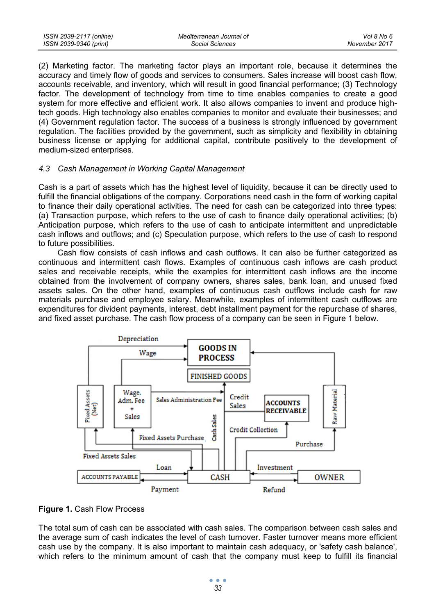(2) Marketing factor. The marketing factor plays an important role, because it determines the accuracy and timely flow of goods and services to consumers. Sales increase will boost cash flow, accounts receivable, and inventory, which will result in good financial performance; (3) Technology factor. The development of technology from time to time enables companies to create a good system for more effective and efficient work. It also allows companies to invent and produce hightech goods. High technology also enables companies to monitor and evaluate their businesses; and (4) Government regulation factor. The success of a business is strongly influenced by government regulation. The facilities provided by the government, such as simplicity and flexibility in obtaining business license or applying for additional capital, contribute positively to the development of medium-sized enterprises.

#### *4.3 Cash Management in Working Capital Management*

Cash is a part of assets which has the highest level of liquidity, because it can be directly used to fulfill the financial obligations of the company. Corporations need cash in the form of working capital to finance their daily operational activities. The need for cash can be categorized into three types: (a) Transaction purpose, which refers to the use of cash to finance daily operational activities; (b) Anticipation purpose, which refers to the use of cash to anticipate intermittent and unpredictable cash inflows and outflows; and (c) Speculation purpose, which refers to the use of cash to respond to future possibilities.

Cash flow consists of cash inflows and cash outflows. It can also be further categorized as continuous and intermittent cash flows. Examples of continuous cash inflows are cash product sales and receivable receipts, while the examples for intermittent cash inflows are the income obtained from the involvement of company owners, shares sales, bank loan, and unused fixed assets sales. On the other hand, examples of continuous cash outflows include cash for raw materials purchase and employee salary. Meanwhile, examples of intermittent cash outflows are expenditures for divident payments, interest, debt installment payment for the repurchase of shares, and fixed asset purchase. The cash flow process of a company can be seen in Figure 1 below.



**Figure 1.** Cash Flow Process

The total sum of cash can be associated with cash sales. The comparison between cash sales and the average sum of cash indicates the level of cash turnover. Faster turnover means more efficient cash use by the company. It is also important to maintain cash adequacy, or 'safety cash balance', which refers to the minimum amount of cash that the company must keep to fulfill its financial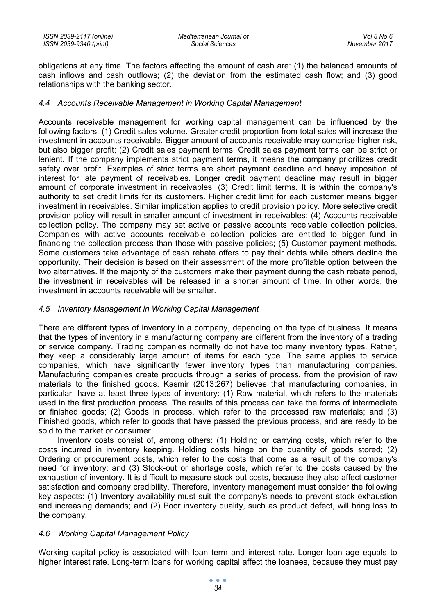| ISSN 2039-2117 (online) | Mediterranean Journal of | Vol 8 No 6    |
|-------------------------|--------------------------|---------------|
| ISSN 2039-9340 (print)  | Social Sciences          | November 2017 |

obligations at any time. The factors affecting the amount of cash are: (1) the balanced amounts of cash inflows and cash outflows; (2) the deviation from the estimated cash flow; and (3) good relationships with the banking sector.

#### *4.4 Accounts Receivable Management in Working Capital Management*

Accounts receivable management for working capital management can be influenced by the following factors: (1) Credit sales volume. Greater credit proportion from total sales will increase the investment in accounts receivable. Bigger amount of accounts receivable may comprise higher risk, but also bigger profit; (2) Credit sales payment terms. Credit sales payment terms can be strict or lenient. If the company implements strict payment terms, it means the company prioritizes credit safety over profit. Examples of strict terms are short payment deadline and heavy imposition of interest for late payment of receivables. Longer credit payment deadline may result in bigger amount of corporate investment in receivables; (3) Credit limit terms. It is within the company's authority to set credit limits for its customers. Higher credit limit for each customer means bigger investment in receivables. Similar implication applies to credit provision policy. More selective credit provision policy will result in smaller amount of investment in receivables; (4) Accounts receivable collection policy. The company may set active or passive accounts receivable collection policies. Companies with active accounts receivable collection policies are entitled to bigger fund in financing the collection process than those with passive policies; (5) Customer payment methods. Some customers take advantage of cash rebate offers to pay their debts while others decline the opportunity. Their decision is based on their assessment of the more profitable option between the two alternatives. If the majority of the customers make their payment during the cash rebate period, the investment in receivables will be released in a shorter amount of time. In other words, the investment in accounts receivable will be smaller.

#### *4.5 Inventory Management in Working Capital Management*

There are different types of inventory in a company, depending on the type of business. It means that the types of inventory in a manufacturing company are different from the inventory of a trading or service company. Trading companies normally do not have too many inventory types. Rather, they keep a considerably large amount of items for each type. The same applies to service companies, which have significantly fewer inventory types than manufacturing companies. Manufacturing companies create products through a series of process, from the provision of raw materials to the finished goods. Kasmir (2013:267) believes that manufacturing companies, in particular, have at least three types of inventory: (1) Raw material, which refers to the materials used in the first production process. The results of this process can take the forms of intermediate or finished goods; (2) Goods in process, which refer to the processed raw materials; and (3) Finished goods, which refer to goods that have passed the previous process, and are ready to be sold to the market or consumer.

Inventory costs consist of, among others: (1) Holding or carrying costs, which refer to the costs incurred in inventory keeping. Holding costs hinge on the quantity of goods stored; (2) Ordering or procurement costs, which refer to the costs that come as a result of the company's need for inventory; and (3) Stock-out or shortage costs, which refer to the costs caused by the exhaustion of inventory. It is difficult to measure stock-out costs, because they also affect customer satisfaction and company credibility. Therefore, inventory management must consider the following key aspects: (1) Inventory availability must suit the company's needs to prevent stock exhaustion and increasing demands; and (2) Poor inventory quality, such as product defect, will bring loss to the company.

## *4.6 Working Capital Management Policy*

Working capital policy is associated with loan term and interest rate. Longer loan age equals to higher interest rate. Long-term loans for working capital affect the loanees, because they must pay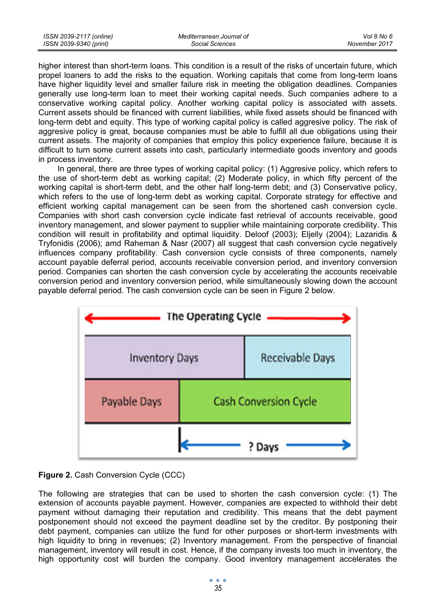*Vol 8 No 6 November 2017*

higher interest than short-term loans. This condition is a result of the risks of uncertain future, which propel loaners to add the risks to the equation. Working capitals that come from long-term loans have higher liquidity level and smaller failure risk in meeting the obligation deadlines. Companies generally use long-term loan to meet their working capital needs. Such companies adhere to a conservative working capital policy. Another working capital policy is associated with assets. Current assets should be financed with current liabilities, while fixed assets should be financed with long-term debt and equity. This type of working capital policy is called aggresive policy. The risk of aggresive policy is great, because companies must be able to fulfill all due obligations using their current assets. The majority of companies that employ this policy experience failure, because it is difficult to turn some current assets into cash, particularly intermediate goods inventory and goods in process inventory.

In general, there are three types of working capital policy: (1) Aggresive policy, which refers to the use of short-term debt as working capital; (2) Moderate policy, in which fifty percent of the working capital is short-term debt, and the other half long-term debt; and (3) Conservative policy, which refers to the use of long-term debt as working capital. Corporate strategy for effective and efficient working capital management can be seen from the shortened cash conversion cycle. Companies with short cash conversion cycle indicate fast retrieval of accounts receivable, good inventory management, and slower payment to supplier while maintaining corporate credibility. This condition will result in profitability and optimal liquidity. Deloof (2003); Eljelly (2004); Lazaridis & Tryfonidis (2006); amd Raheman & Nasr (2007) all suggest that cash conversion cycle negatively influences company profitability. Cash conversion cycle consists of three components, namely account payable deferral period, accounts receivable conversion period, and inventory conversion period. Companies can shorten the cash conversion cycle by accelerating the accounts receivable conversion period and inventory conversion period, while simultaneously slowing down the account payable deferral period. The cash conversion cycle can be seen in Figure 2 below.





The following are strategies that can be used to shorten the cash conversion cycle: (1) The extension of accounts payable payment. However, companies are expected to withhold their debt payment without damaging their reputation and credibility. This means that the debt payment postponement should not exceed the payment deadline set by the creditor. By postponing their debt payment, companies can utilize the fund for other purposes or short-term investments with high liquidity to bring in revenues; (2) Inventory management. From the perspective of financial management, inventory will result in cost. Hence, if the company invests too much in inventory, the high opportunity cost will burden the company. Good inventory management accelerates the